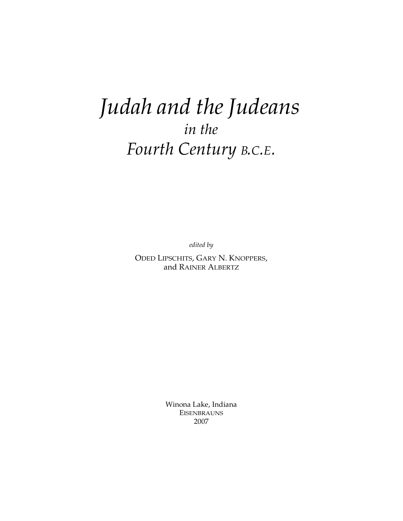# *Judah and the Judeans in the Fourth Century b.c.e.*

*edited by*

Oded Lipschits, Gary N. Knoppers, and Rainer Albertz

> Winona Lake, Indiana **EISENBRAUNS** 2007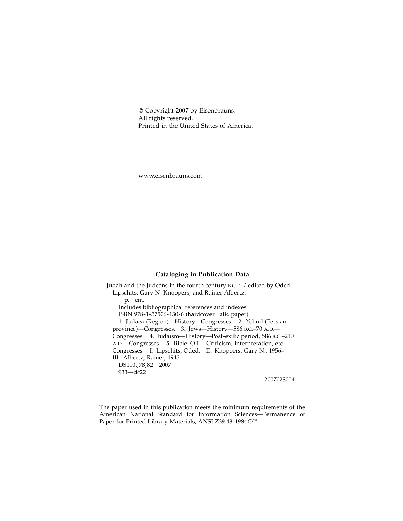ç Copyright 2007 by Eisenbrauns. All rights reserved. Printed in the United States of America.

www.eisenbrauns.com

#### **Cataloging in Publication Data**

Judah and the Judeans in the fourth century b.c.e. / edited by Oded Lipschits, Gary N. Knoppers, and Rainer Albertz. p. cm. Includes bibliographical references and indexes. ISBN 978-1-57506-130-6 (hardcover : alk. paper) 1. Judaea (Region)—History—Congresses. 2. Yehud (Persian province)—Congresses. 3. Jews—History—586 B.C.-70 A.D.— Congresses. 4. Judaism—History—Post-exilic period, 586 b.c.–210 A.D.—Congresses. 5. Bible. O.T.—Criticism, interpretation, etc.— Congresses. I. Lipschits, Oded. II. Knoppers, Gary N., 1956– III. Albertz, Rainer, 1943– DS110.J78J82 2007 933—dc22 2007028004

The paper used in this publication meets the minimum requirements of the American National Standard for Information Sciences—Permanence of Paper for Printed Library Materials, ANSI Z39.48-1984.<sup>®™</sup>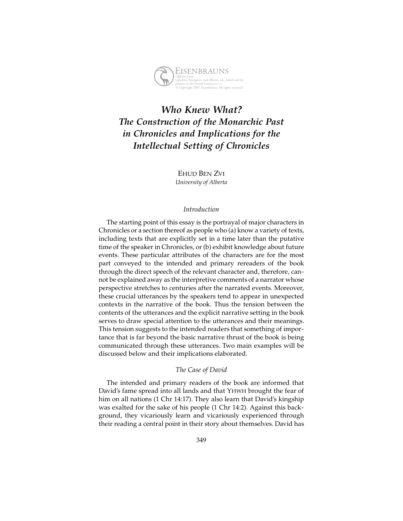

## *Who Knew What? The Construction of the Monarchic Past in Chronicles and Implications for the Intellectual Setting of Chronicles*

Ehud Ben Zvi *University of Alberta*

#### *Introduction*

The starting point of this essay is the portrayal of major characters in Chronicles or a section thereof as people who (a) know a variety of texts, including texts that are explicitly set in a time later than the putative time of the speaker in Chronicles, or (b) exhibit knowledge about future events. These particular attributes of the characters are for the most part conveyed to the intended and primary rereaders of the book through the direct speech of the relevant character and, therefore, cannot be explained away as the interpretive comments of a narrator whose perspective stretches to centuries after the narrated events. Moreover, these crucial utterances by the speakers tend to appear in unexpected contexts in the narrative of the book. Thus the tension between the contents of the utterances and the explicit narrative setting in the book serves to draw special attention to the utterances and their meanings. This tension suggests to the intended readers that something of importance that is far beyond the basic narrative thrust of the book is being communicated through these utterances. Two main examples will be discussed below and their implications elaborated.

#### *The Case of David*

The intended and primary readers of the book are informed that David's fame spread into all lands and that Yhwh brought the fear of him on all nations (1 Chr 14:17). They also learn that David's kingship was exalted for the sake of his people (1 Chr 14:2). Against this background, they vicariously learn and vicariously experienced through their reading a central point in their story about themselves. David has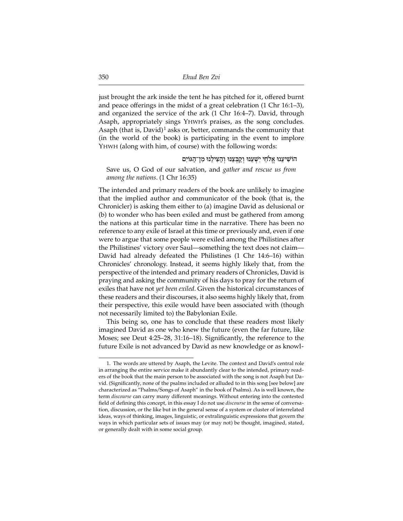just brought the ark inside the tent he has pitched for it, offered burnt and peace offerings in the midst of a great celebration (1 Chr 16:1–3), and organized the service of the ark (1 Chr 16:4–7). David, through Asaph, appropriately sings Yhwh's praises, as the song concludes. Asaph (that is, David)<sup>1</sup> asks or, better, commands the community that (in the world of the book) is participating in the event to implore Yhwh (along with him, of course) with the following words:

הוֹשִׁיעֵנוּ אֱלֹחֵי יִשְׁעֲנוּ וְקַבְּצֵנוּ וְהַצִּילֵנוּ מִן־הַגּוֹיִם

Save us, O God of our salvation, and *gather and rescue us from among the nations*. (1 Chr 16:35)

The intended and primary readers of the book are unlikely to imagine that the implied author and communicator of the book (that is, the Chronicler) is asking them either to (a) imagine David as delusional or (b) to wonder who has been exiled and must be gathered from among the nations at this particular time in the narrative. There has been no reference to any exile of Israel at this time or previously and, even if one were to argue that some people were exiled among the Philistines after the Philistines' victory over Saul—something the text does not claim— David had already defeated the Philistines (1 Chr 14:6–16) within Chronicles' chronology. Instead, it seems highly likely that, from the perspective of the intended and primary readers of Chronicles, David is praying and asking the community of his days to pray for the return of exiles that have not *yet been exiled*. Given the historical circumstances of these readers and their discourses, it also seems highly likely that, from their perspective, this exile would have been associated with (though not necessarily limited to) the Babylonian Exile.

This being so, one has to conclude that these readers most likely imagined David as one who knew the future (even the far future, like Moses; see Deut 4:25–28, 31:16–18). Significantly, the reference to the future Exile is not advanced by David as new knowledge or as knowl-

<sup>1.</sup> The words are uttered by Asaph, the Levite. The context and David's central role in arranging the entire service make it abundantly clear to the intended, primary readers of the book that the main person to be associated with the song is not Asaph but David. (Significantly, none of the psalms included or alluded to in this song [see below] are characterized as "Psalms/Songs of Asaph" in the book of Psalms). As is well known, the term *discourse* can carry many different meanings. Without entering into the contested field of defining this concept, in this essay I do not use *discourse* in the sense of conversation, discussion, or the like but in the general sense of a system or cluster of interrelated ideas, ways of thinking, images, linguistic, or extralinguistic expressions that govern the ways in which particular sets of issues may (or may not) be thought, imagined, stated, or generally dealt with in some social group.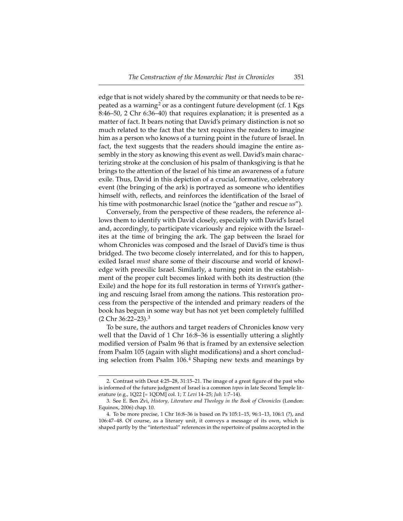edge that is not widely shared by the community or that needs to be repeated as a warning<sup>2</sup> or as a contingent future development (cf. 1 Kgs 8:46–50, 2 Chr 6:36–40) that requires explanation; it is presented as a matter of fact. It bears noting that David's primary distinction is not so much related to the fact that the text requires the readers to imagine him as a person who knows of a turning point in the future of Israel. In fact, the text suggests that the readers should imagine the entire assembly in the story as knowing this event as well. David's main characterizing stroke at the conclusion of his psalm of thanksgiving is that he brings to the attention of the Israel of his time an awareness of a future exile. Thus, David in this depiction of a crucial, formative, celebratory event (the bringing of the ark) is portrayed as someone who identifies himself with, reflects, and reinforces the identification of the Israel of his time with postmonarchic Israel (notice the "gather and rescue *us*").

Conversely, from the perspective of these readers, the reference allows them to identify with David closely, especially with David's Israel and, accordingly, to participate vicariously and rejoice with the Israelites at the time of bringing the ark. The gap between the Israel for whom Chronicles was composed and the Israel of David's time is thus bridged. The two become closely interrelated, and for this to happen, exiled Israel *must* share some of their discourse and world of knowledge with preexilic Israel. Similarly, a turning point in the establishment of the proper cult becomes linked with both its destruction (the Exile) and the hope for its full restoration in terms of Yhwh's gathering and rescuing Israel from among the nations. This restoration process from the perspective of the intended and primary readers of the book has begun in some way but has not yet been completely fulfilled (2 Chr 36:22–23).3

To be sure, the authors and target readers of Chronicles know very well that the David of 1 Chr 16:8–36 is essentially uttering a slightly modified version of Psalm 96 that is framed by an extensive selection from Psalm 105 (again with slight modifications) and a short concluding selection from Psalm 106.4 Shaping new texts and meanings by

<sup>2.</sup> Contrast with Deut 4:25–28, 31:15–21. The image of a great figure of the past who is informed of the future judgment of Israel is a common *topos* in late Second Temple literature (e.g., 1Q22 [= 1QDM] col. 1; *T. Levi* 14–25; *Jub.* 1:7–14).

<sup>3.</sup> See E. Ben Zvi, *History, Literature and Theology in the Book of Chronicles* (London: Equinox, 2006) chap. 10.

<sup>4.</sup> To be more precise, 1 Chr 16:8–36 is based on Ps 105:1–15, 96:1–13, 106:1 (?), and 106:47–48. Of course, as a literary unit, it conveys a message of its own, which is shaped partly by the "intertextual" references in the repertoire of psalms accepted in the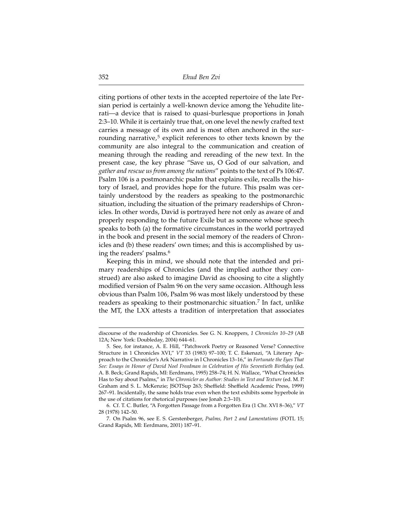citing portions of other texts in the accepted repertoire of the late Persian period is certainly a well-known device among the Yehudite literati—a device that is raised to quasi-burlesque proportions in Jonah 2:3–10. While it is certainly true that, on one level the newly crafted text carries a message of its own and is most often anchored in the surrounding narrative,<sup>5</sup> explicit references to other texts known by the community are also integral to the communication and creation of meaning through the reading and rereading of the new text. In the present case, the key phrase "Save us, O God of our salvation, and *gather and rescue us from among the nations*" points to the text of Ps 106:47. Psalm 106 is a postmonarchic psalm that explains exile, recalls the history of Israel, and provides hope for the future. This psalm was certainly understood by the readers as speaking to the postmonarchic situation, including the situation of the primary readerships of Chronicles. In other words, David is portrayed here not only as aware of and properly responding to the future Exile but as someone whose speech speaks to both (a) the formative circumstances in the world portrayed in the book and present in the social memory of the readers of Chronicles and (b) these readers' own times; and this is accomplished by using the readers' psalms.<sup>6</sup>

Keeping this in mind, we should note that the intended and primary readerships of Chronicles (and the implied author they construed) are also asked to imagine David as choosing to cite a slightly modified version of Psalm 96 on the very same occasion. Although less obvious than Psalm 106, Psalm 96 was most likely understood by these readers as speaking to their postmonarchic situation.<sup>7</sup> In fact, unlike the MT, the LXX attests a tradition of interpretation that associates

discourse of the readership of Chronicles. See G. N. Knoppers, *1 Chronicles 10–29* (AB 12A; New York: Doubleday, 2004) 644–61.

<sup>5.</sup> See, for instance, A. E. Hill, "Patchwork Poetry or Reasoned Verse? Connective Structure in 1 Chronicles XVI," *VT* 33 (1983) 97–100; T. C. Eskenazi, "A Literary Approach to the Chronicler's Ark Narrative in I Chronicles 13–16," in *Fortunate the Eyes That See: Essays in Honor of David Noel Freedman in Celebration of His Seventieth Birthday* (ed. A. B. Beck; Grand Rapids, MI: Eerdmans, 1995) 258–74; H. N. Wallace, "What Chronicles Has to Say about Psalms," in *The Chronicler as Author: Studies in Text and Texture* (ed. M. P. Graham and S. L. McKenzie; JSOTSup 263; Sheffield: Sheffield Academic Press, 1999) 267–91. Incidentally, the same holds true even when the text exhibits some hyperbole in the use of citations for rhetorical purposes (see Jonah 2:3–10).

<sup>6.</sup> Cf. T. C. Butler, "A Forgotten Passage from a Forgotten Era (1 Chr. XVI 8–36)," *VT* 28 (1978) 142–50.

<sup>7.</sup> On Psalm 96, see E. S. Gerstenberger, *Psalms, Part 2 and Lamentations* (FOTL 15; Grand Rapids, MI: Eerdmans, 2001) 187–91.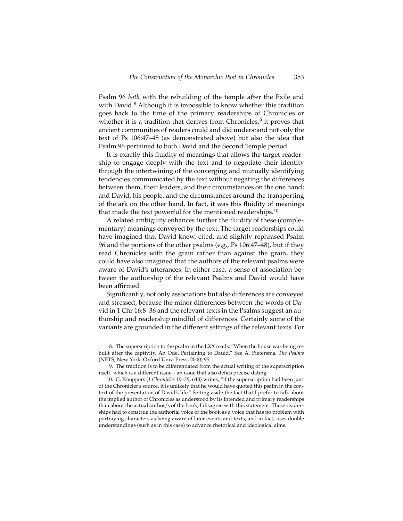Psalm 96 *both* with the rebuilding of the temple after the Exile and with David.<sup>8</sup> Although it is impossible to know whether this tradition goes back to the time of the primary readerships of Chronicles or whether it is a tradition that derives from Chronicles, $9$  it proves that ancient communities of readers could and did understand not only the text of Ps 106:47–48 (as demonstrated above) but also the idea that Psalm 96 pertained to both David and the Second Temple period.

It is exactly this fluidity of meanings that allows the target readership to engage deeply with the text and to negotiate their identity through the intertwining of the converging and mutually identifying tendencies communicated by the text without negating the differences between them, their leaders, and their circumstances on the one hand; and David, his people, and the circumstances around the transporting of the ark on the other hand. In fact, it was this fluidity of meanings that made the text powerful for the mentioned readerships.<sup>10</sup>

A related ambiguity enhances further the fluidity of these (complementary) meanings conveyed by the text. The target readerships could have imagined that David knew, cited, and slightly rephrased Psalm 96 and the portions of the other psalms (e.g., Ps 106:47–48), but if they read Chronicles with the grain rather than against the grain, they could have also imagined that the authors of the relevant psalms were aware of David's utterances. In either case, a sense of association between the authorship of the relevant Psalms and David would have been affirmed.

Significantly, not only associations but also differences are conveyed and stressed, because the minor differences between the words of David in 1 Chr 16:8–36 and the relevant texts in the Psalms suggest an authorship and readership mindful of differences. Certainly some of the variants are grounded in the different settings of the relevant texts. For

<sup>8.</sup> The superscription to the psalm in the LXX reads: "When the house was being rebuilt after the captivity. An Ode. Pertaining to Dauid." See A. Pietersma, *The Psalms* (NETS; New York: Oxford Univ. Press, 2000) 95.

<sup>9.</sup> The tradition is to be differentiated from the actual writing of the superscription itself, which is a different issue—an issue that also defies precise dating.

<sup>10.</sup> G. Knoppers (*1 Chronicles 10–29*, 648) writes, "if the superscription had been part of the Chronicler's source, it is unlikely that he would have quoted this psalm in the context of the presentation of David's life." Setting aside the fact that I prefer to talk about the implied author of Chronicles as understood by its intended and primary readerships than about the actual author/s of the book, I disagree with this statement. These readerships had to construe the authorial voice of the book as a voice that has no problem with portraying characters as being aware of later events and texts, and in fact, uses double understandings (such as in this case) to advance rhetorical and ideological aims.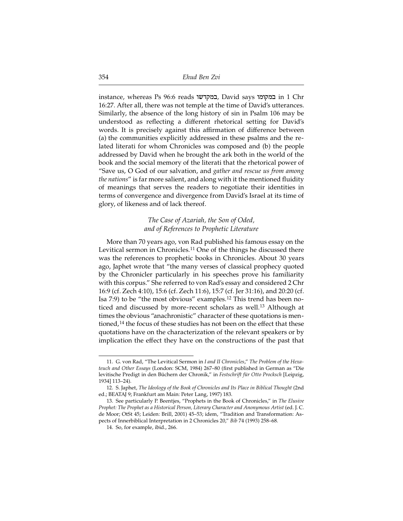instance, whereas Ps 96:6 reads במקומו, David says במקומו 16:27. After all, there was not temple at the time of David's utterances. Similarly, the absence of the long history of sin in Psalm 106 may be understood as reflecting a different rhetorical setting for David's words. It is precisely against this affirmation of difference between (a) the communities explicitly addressed in these psalms and the related literati for whom Chronicles was composed and (b) the people addressed by David when he brought the ark both in the world of the book and the social memory of the literati that the rhetorical power of "Save us, O God of our salvation, and *gather and rescue us from among the nations*" is far more salient, and along with it the mentioned fluidity of meanings that serves the readers to negotiate their identities in terms of convergence and divergence from David's Israel at its time of glory, of likeness and of lack thereof.

### *The Case of Azariah, the Son of Oded, and of References to Prophetic Literature*

More than 70 years ago, von Rad published his famous essay on the Levitical sermon in Chronicles.<sup>11</sup> One of the things he discussed there was the references to prophetic books in Chronicles. About 30 years ago, Japhet wrote that "the many verses of classical prophecy quoted by the Chronicler particularly in his speeches prove his familiarity with this corpus." She referred to von Rad's essay and considered 2 Chr 16:9 (cf. Zech 4:10), 15:6 (cf. Zech 11:6), 15:7 (cf. Jer 31:16), and 20:20 (cf. Isa 7:9) to be "the most obvious" examples.12 This trend has been noticed and discussed by more-recent scholars as well.<sup>13</sup> Although at times the obvious "anachronistic" character of these quotations is mentioned,<sup>14</sup> the focus of these studies has not been on the effect that these quotations have on the characterization of the relevant speakers or by implication the effect they have on the constructions of the past that

<sup>11.</sup> G. von Rad, "The Levitical Sermon in *I and II Chronicles*," *The Problem of the Hexateuch and Other Essays* (London: SCM, 1984) 267–80 (first published in German as "Die levitische Predigt in den Büchern der Chronik," in *Festschrift für Otto Procksch* [Leipzig, 1934] 113–24).

<sup>12.</sup> S. Japhet, *The Ideology of the Book of Chronicles and Its Place in Biblical Thought* (2nd ed.; BEATAJ 9; Frankfurt am Main: Peter Lang, 1997) 183.

<sup>13.</sup> See particularly P. Beentjes, "Prophets in the Book of Chronicles," in *The Elusive Prophet: The Prophet as a Historical Person, Literary Character and Anonymous Artist* (ed. J. C. de Moor; OtSt 45; Leiden: Brill, 2001) 45–53; idem, "Tradition and Transformation: Aspects of Innerbiblical Interpretation in 2 Chronicles 20," *Bib* 74 (1993) 258–68.

<sup>14.</sup> So, for example, ibid., 266.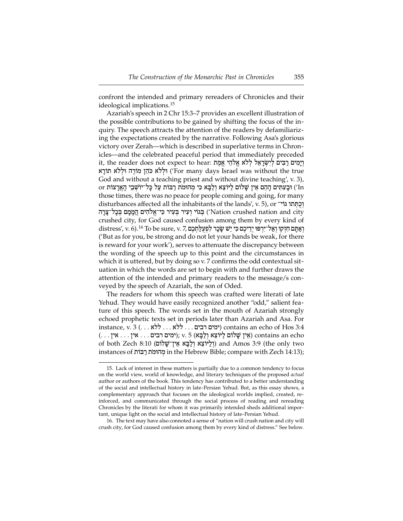confront the intended and primary rereaders of Chronicles and their ideological implications.15

Azariah's speech in 2 Chr 15:3–7 provides an excellent illustration of the possible contributions to be gained by shifting the focus of the inquiry. The speech attracts the attention of the readers by defamiliarizing the expectations created by the narrative. Following Asa's glorious victory over Zerah—which is described in superlative terms in Chronicles—and the celebrated peaceful period that immediately preceded it, the reader does not expect to hear: וַיֲמִים רַבִּים לְיִשְׂרָאֶל לְלֹא אֱלֹהֵי אֱמֶת יִלְלֹא כֹּהֶן מוֹרֵה וּלְלֹא מוֹרַא ('For many days Israel was without the true God and without a teaching priest and without divine teaching', v. 3), or וּבַעְתִּים הַהֶם אֵין שֲלוֹם לַיּוֹצֵא וְלַבֵּא כִּי מְהוּמֹת רַבּוֹת עַל כַּל־יוֹשָׁבֵי הַאֲרַצוֹת) ('In those times, there was no peace for people coming and going, for many disturbances affected all the inhabitants of the lands', v. 5), or יְכַתְּתוּ גוֹי־ הָגוֹי וִעִיר בִּעִיר כִּי־אֱלֹהִים הֲמָמָם בִּכָל־צָרָה ('Nation crushed nation and city crushed city, for God caused confusion among them by every kind of distress', v. 6).<sup>16</sup> To be sure, v. 7, וְאֵתֵּם תְּזִקְוּ יְאֲלֹ־יִרְפּוּ יְדֵיכֶם כִּי יֵשׁ שָׂכָר לִפְעָלַתְכֶם ('But as for you, be strong and do not let your hands be weak, for there is reward for your work'), serves to attenuate the discrepancy between the wording of the speech up to this point and the circumstances in which it is uttered, but by doing so v. 7 confirms the odd contextual situation in which the words are set to begin with and further draws the attention of the intended and primary readers to the message/s conveyed by the speech of Azariah, the son of Oded.

The readers for whom this speech was crafted were literati of late Yehud. They would have easily recognized another "odd," salient feature of this speech. The words set in the mouth of Azariah strongly echoed prophetic texts set in periods later than Azariah and Asa. For  $\;$ instance, v. 3 $(\ldots$ אלא $\ldots$ ללא $\ldots$ ימים ובים ('מים כתום ) contains an echo of Hos 3:4 (. . . . אין . . . אין wy); v. 5 (אֵין שֲלוֹם לַיּוֹצֵא וְלַבַּא) contains an echo of both Zech 8:10 (וַלְיֹוֹצֵא וְלַבֵּא אֵין־שַׁלוֹם) and Amos 3:9 (the only two instances of מְהוּמֹת רַבּוֹת in the Hebrew Bible; compare with Zech 14:13);

16. The text may have also connoted a sense of "nation will crush nation and city will crush city, for God caused confusion among them by every kind of distress." See below.

<sup>15.</sup> Lack of interest in these matters is partially due to a common tendency to focus on the world view, world of knowledge, and literary techniques of the proposed *actual* author or authors of the book. This tendency has contributed to a better understanding of the social and intellectual history in late-Persian Yehud. But, as this essay shows, a complementary approach that focuses on the ideological worlds implied, created, reinforced, and communicated through the social process of reading and rereading Chronicles by the literati for whom it was primarily intended sheds additional important, unique light on the social and intellectual history of late-Persian Yehud.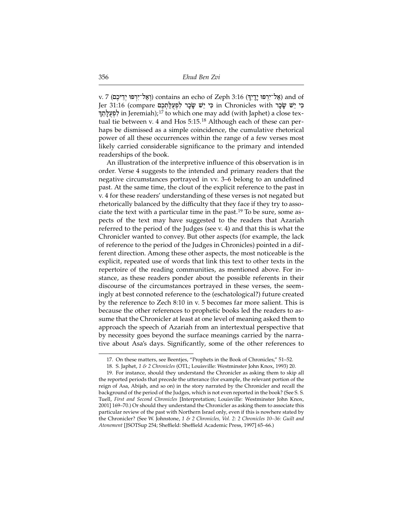v. 7 (אֱל־יִרְפּוּ יָדֵיכֶם) contains an echo of Zeph 3:16 (אֲל־יִרְפּוּ יָדֵיכֶם) and of Jer 31:16 (compare כִּי יֵשׁ שָׂכָר לְפִעָּלַתְכֶם in Chronicles with יִ ËtEL:[Up}lI in Jeremiah);17 to which one may add (with Japhet) a close textual tie between v. 4 and Hos 5:15.18 Although each of these can perhaps be dismissed as a simple coincidence, the cumulative rhetorical power of all these occurrences within the range of a few verses most likely carried considerable significance to the primary and intended readerships of the book.

An illustration of the interpretive influence of this observation is in order. Verse 4 suggests to the intended and primary readers that the negative circumstances portrayed in vv. 3–6 belong to an undefined past. At the same time, the clout of the explicit reference to the past in v. 4 for these readers' understanding of these verses is not negated but rhetorically balanced by the difficulty that they face if they try to associate the text with a particular time in the past.19 To be sure, some aspects of the text may have suggested to the readers that Azariah referred to the period of the Judges (see v. 4) and that this is what the Chronicler wanted to convey. But other aspects (for example, the lack of reference to the period of the Judges in Chronicles) pointed in a different direction. Among these other aspects, the most noticeable is the explicit, repeated use of words that link this text to other texts in the repertoire of the reading communities, as mentioned above. For instance, as these readers ponder about the possible referents in their discourse of the circumstances portrayed in these verses, the seemingly at best connoted reference to the (eschatological?) future created by the reference to Zech 8:10 in v. 5 becomes far more salient. This is because the other references to prophetic books led the readers to assume that the Chronicler at least at one level of meaning asked them to approach the speech of Azariah from an intertextual perspective that by necessity goes beyond the surface meanings carried by the narrative about Asa's days. Significantly, some of the other references to

<sup>17.</sup> On these matters, see Beentjes, "Prophets in the Book of Chronicles," 51–52.

<sup>18.</sup> S. Japhet, *1 & 2 Chronicles* (OTL; Louisville: Westminster John Knox, 1993) 20.

<sup>19.</sup> For instance, should they understand the Chronicler as asking them to skip all the reported periods that precede the utterance (for example, the relevant portion of the reign of Asa, Abijah, and so on) in the story narrated by the Chronicler and recall the background of the period of the Judges, which is not even reported in the book? (See S. S. Tuell, *First and Second Chronicles* [Interpretation; Louisville: Westminster John Knox, 2001] 169–70.) Or should they understand the Chronicler as asking them to associate this particular review of the past with Northern Israel only, even if this is nowhere stated by the Chronicler? (See W. Johnstone, *1 & 2 Chronicles, Vol. 2: 2 Chronicles 10–36: Guilt and Atonement* [JSOTSup 254; Sheffield: Sheffield Academic Press, 1997] 65–66.)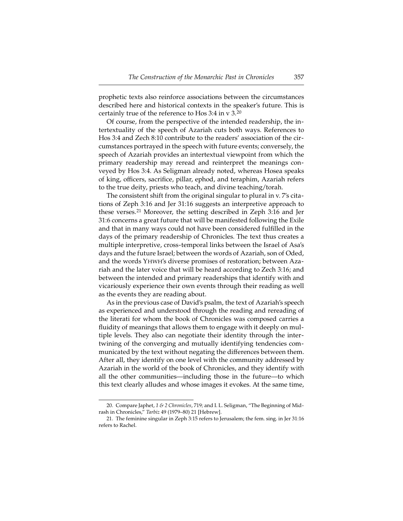prophetic texts also reinforce associations between the circumstances described here and historical contexts in the speaker's future. This is certainly true of the reference to Hos 3:4 in v 3.20

Of course, from the perspective of the intended readership, the intertextuality of the speech of Azariah cuts both ways. References to Hos 3:4 and Zech 8:10 contribute to the readers' association of the circumstances portrayed in the speech with future events; conversely, the speech of Azariah provides an intertextual viewpoint from which the primary readership may reread and reinterpret the meanings conveyed by Hos 3:4. As Seligman already noted, whereas Hosea speaks of king, officers, sacrifice, pillar, ephod, and teraphim, Azariah refers to the true deity, priests who teach, and divine teaching/torah.

The consistent shift from the original singular to plural in v. 7's citations of Zeph 3:16 and Jer 31:16 suggests an interpretive approach to these verses.21 Moreover, the setting described in Zeph 3:16 and Jer 31:6 concerns a great future that will be manifested following the Exile and that in many ways could not have been considered fulfilled in the days of the primary readership of Chronicles. The text thus creates a multiple interpretive, cross-temporal links between the Israel of Asa's days and the future Israel; between the words of Azariah, son of Oded, and the words Yhwh's diverse promises of restoration; between Azariah and the later voice that will be heard according to Zech 3:16; and between the intended and primary readerships that identify with and vicariously experience their own events through their reading as well as the events they are reading about.

As in the previous case of David's psalm, the text of Azariah's speech as experienced and understood through the reading and rereading of the literati for whom the book of Chronicles was composed carries a fluidity of meanings that allows them to engage with it deeply on multiple levels. They also can negotiate their identity through the intertwining of the converging and mutually identifying tendencies communicated by the text without negating the differences between them. After all, they identify on one level with the community addressed by Azariah in the world of the book of Chronicles, and they identify with all the other communities—including those in the future—to which this text clearly alludes and whose images it evokes. At the same time,

<sup>20.</sup> Compare Japhet, *1 & 2 Chronicles*, 719*;* and I. L. Seligman, "The Beginning of Midrash in Chronicles," *Tarbiz* 49 (1979–80) 21 [Hebrew].

<sup>21.</sup> The feminine singular in Zeph 3:15 refers to Jerusalem; the fem. sing. in Jer 31:16 refers to Rachel.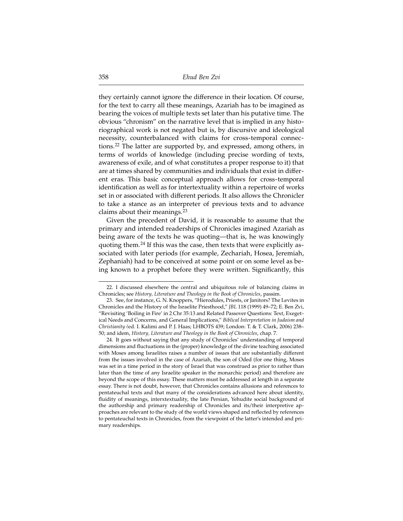they certainly cannot ignore the difference in their location. Of course, for the text to carry all these meanings, Azariah has to be imagined as bearing the voices of multiple texts set later than his putative time. The obvious "chronism" on the narrative level that is implied in any historiographical work is not negated but is, by discursive and ideological necessity, counterbalanced with claims for cross-temporal connections.22 The latter are supported by, and expressed, among others, in terms of worlds of knowledge (including precise wording of texts, awareness of exile, and of what constitutes a proper response to it) that are at times shared by communities and individuals that exist in different eras. This basic conceptual approach allows for cross-temporal identification as well as for intertextuality within a repertoire of works set in or associated with different periods. It also allows the Chronicler to take a stance as an interpreter of previous texts and to advance claims about their meanings. $23$ 

Given the precedent of David, it is reasonable to assume that the primary and intended readerships of Chronicles imagined Azariah as being aware of the texts he was quoting—that is, he was knowingly quoting them.24 If this was the case, then texts that were explicitly associated with later periods (for example, Zechariah, Hosea, Jeremiah, Zephaniah) had to be conceived at some point or on some level as being known to a prophet before they were written. Significantly, this

<sup>22.</sup> I discussed elsewhere the central and ubiquitous role of balancing claims in Chronicles; see *History, Literature and Theology in the Book of Chronicles*, passim.

<sup>23.</sup> See, for instance, G. N. Knoppers, "Hierodules, Priests, or Janitors? The Levites in Chronicles and the History of the Israelite Priesthood," *JBL* 118 (1999) 49–72; E. Ben Zvi, "Revisiting 'Boiling in Fire' in 2 Chr 35:13 and Related Passover Questions: Text, Exegetical Needs and Concerns, and General Implications," *Biblical Interpretation in Judaism and Christianity (*ed. I. Kalimi and P. J. Haas; LHBOTS 439; London: T. & T. Clark, 2006) 238– 50; and idem, *History, Literature and Theology in the Book of Chronicles*, chap. 7.

<sup>24.</sup> It goes without saying that any study of Chronicles' understanding of temporal dimensions and fluctuations in the (proper) knowledge of the divine teaching associated with Moses among Israelites raises a number of issues that are substantially different from the issues involved in the case of Azariah, the son of Oded (for one thing, Moses was set in a time period in the story of Israel that was construed as prior to rather than later than the time of any Israelite speaker in the monarchic period) and therefore are beyond the scope of this essay. These matters must be addressed at length in a separate essay. There is not doubt, however, that Chronicles contains allusions and references to pentateuchal texts and that many of the considerations advanced here about identity, fluidity of meanings, interxtextuality, the late Persian, Yehudite social background of the authorship and primary readership of Chronicles and its/their interpretive approaches are relevant to the study of the world views shaped and reflected by references to pentateuchal texts in Chronicles, from the viewpoint of the latter's intended and primary readerships.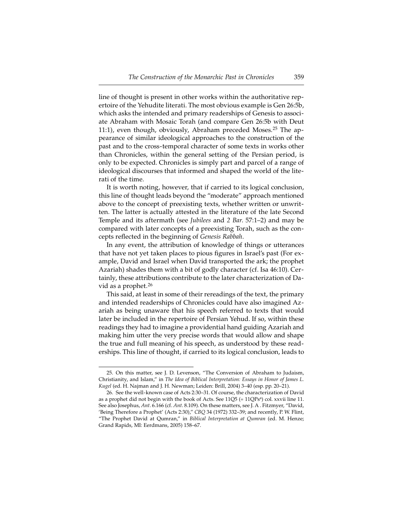line of thought is present in other works within the authoritative repertoire of the Yehudite literati. The most obvious example is Gen 26:5b, which asks the intended and primary readerships of Genesis to associate Abraham with Mosaic Torah (and compare Gen 26:5b with Deut 11:1), even though, obviously, Abraham preceded Moses.<sup>25</sup> The appearance of similar ideological approaches to the construction of the past and to the cross-temporal character of some texts in works other than Chronicles, within the general setting of the Persian period, is only to be expected. Chronicles is simply part and parcel of a range of ideological discourses that informed and shaped the world of the literati of the time.

It is worth noting, however, that if carried to its logical conclusion, this line of thought leads beyond the "moderate" approach mentioned above to the concept of preexisting texts, whether written or unwritten. The latter is actually attested in the literature of the late Second Temple and its aftermath (see *Jubilees* and *2 Bar*. 57:1–2) and may be compared with later concepts of a preexisting Torah, such as the concepts reflected in the beginning of *Genesis Rabbah*.

In any event, the attribution of knowledge of things or utterances that have not yet taken places to pious figures in Israel's past (For example, David and Israel when David transported the ark; the prophet Azariah) shades them with a bit of godly character (cf. Isa 46:10). Certainly, these attributions contribute to the later characterization of David as a prophet.<sup>26</sup>

This said, at least in some of their rereadings of the text, the primary and intended readerships of Chronicles could have also imagined Azariah as being unaware that his speech referred to texts that would later be included in the repertoire of Persian Yehud. If so, within these readings they had to imagine a providential hand guiding Azariah and making him utter the very precise words that would allow and shape the true and full meaning of his speech, as understood by these readerships. This line of thought, if carried to its logical conclusion, leads to

<sup>25.</sup> On this matter, see J. D. Levenson, "The Conversion of Abraham to Judaism, Christianity, and Islam," in *The Idea of Biblical Interpretation: Essays in Honor of James L. Kugel* (ed. H. Najman and J. H. Newman; Leiden: Brill, 2004) 3–40 (esp. pp. 20–21).

<sup>26.</sup> See the well-known case of Acts 2:30–31. Of course, the characterization of David as a prophet did not begin with the book of Acts. See  $11Q5$  (=  $11QPs<sup>a</sup>$ ) col. xxvii line 11. See also Josephus, *Ant*. 6.166 (cf. *Ant*. 8.109). On these matters, see J. A . Fitzmyer, "David, 'Being Therefore a Prophet' (Acts 2:30)," *CBQ* 34 (1972) 332–39; and recently, P. W. Flint, "The Prophet David at Qumran," in *Biblical Interpretation at Qumran* (ed. M. Henze; Grand Rapids, MI: Eerdmans, 2005) 158–67.